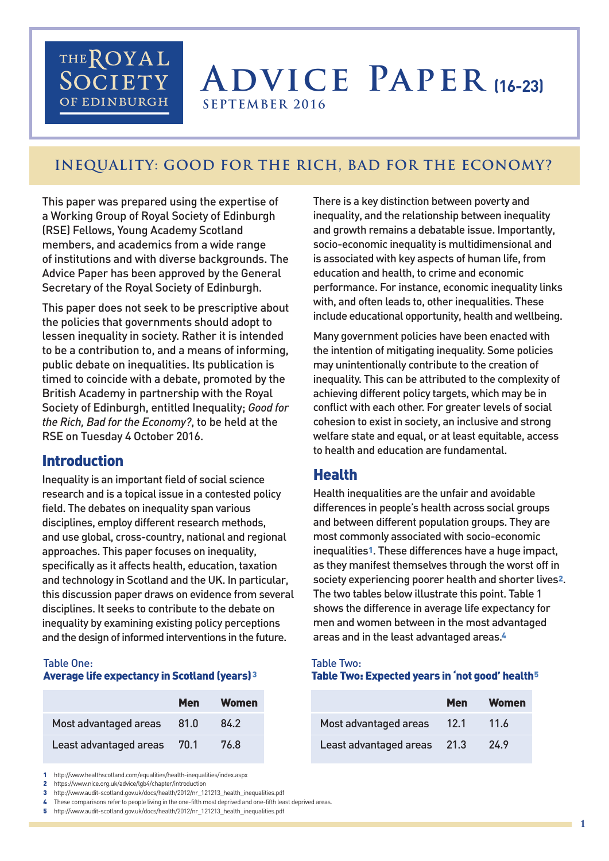## THEROYAL SOCIETY OF EDINBURGH

# **Advice Paper (16-23) SEPTEMBER 2016**

## **Inequality: Good for the Rich, Bad for the Economy?**

This paper was prepared using the expertise of a Working Group of Royal Society of Edinburgh (RSE) Fellows, Young Academy Scotland members, and academics from a wide range of institutions and with diverse backgrounds. The Advice Paper has been approved by the General Secretary of the Royal Society of Edinburgh.

This paper does not seek to be prescriptive about the policies that governments should adopt to lessen inequality in society. Rather it is intended to be a contribution to, and a means of informing, public debate on inequalities. Its publication is timed to coincide with a debate, promoted by the British Academy in partnership with the Royal Society of Edinburgh, entitled Inequality; *Good for the Rich, Bad for the Economy?*, to be held at the RSE on Tuesday 4 October 2016.

## Introduction

Inequality is an important field of social science research and is a topical issue in a contested policy field. The debates on inequality span various disciplines, employ different research methods, and use global, cross-country, national and regional approaches. This paper focuses on inequality, specifically as it affects health, education, taxation and technology in Scotland and the UK. In particular, this discussion paper draws on evidence from several disciplines. It seeks to contribute to the debate on inequality by examining existing policy perceptions and the design of informed interventions in the future.

#### Table One: Average life expectancy in Scotland (years)3

|                        | Men    | Women |
|------------------------|--------|-------|
| Most advantaged areas  | 81.0   | 84.2  |
| Least advantaged areas | - 70.1 | 76.8  |

1 http://www.healthscotland.com/equalities/health-inequalities/index.aspx

2 https://www.nice.org.uk/advice/lgb4/chapter/introduction

3 http://www.audit-scotland.gov.uk/docs/health/2012/nr\_121213\_health\_inequalities.pdf

4 These comparisons refer to people living in the one-fifth most deprived and one-fifth least deprived areas.

5 http://www.audit-scotland.gov.uk/docs/health/2012/nr\_121213\_health\_inequalities.pdf

There is a key distinction between poverty and inequality, and the relationship between inequality and growth remains a debatable issue. Importantly, socio-economic inequality is multidimensional and is associated with key aspects of human life, from education and health, to crime and economic performance. For instance, economic inequality links with, and often leads to, other inequalities. These include educational opportunity, health and wellbeing.

Many government policies have been enacted with the intention of mitigating inequality. Some policies may unintentionally contribute to the creation of inequality. This can be attributed to the complexity of achieving different policy targets, which may be in conflict with each other. For greater levels of social cohesion to exist in society, an inclusive and strong welfare state and equal, or at least equitable, access to health and education are fundamental.

### **Health**

Health inequalities are the unfair and avoidable differences in people's health across social groups and between different population groups. They are most commonly associated with socio-economic inequalities1. These differences have a huge impact, as they manifest themselves through the worst off in society experiencing poorer health and shorter lives2. The two tables below illustrate this point. Table 1 shows the difference in average life expectancy for men and women between in the most advantaged areas and in the least advantaged areas.4

#### Table Two: Table Two: Expected years in 'not good' health5

|                             | <b>Men</b>  | Women   |
|-----------------------------|-------------|---------|
| Most advantaged areas       | <b>12.1</b> | $-11.6$ |
| Least advantaged areas 21.3 |             | 24.9    |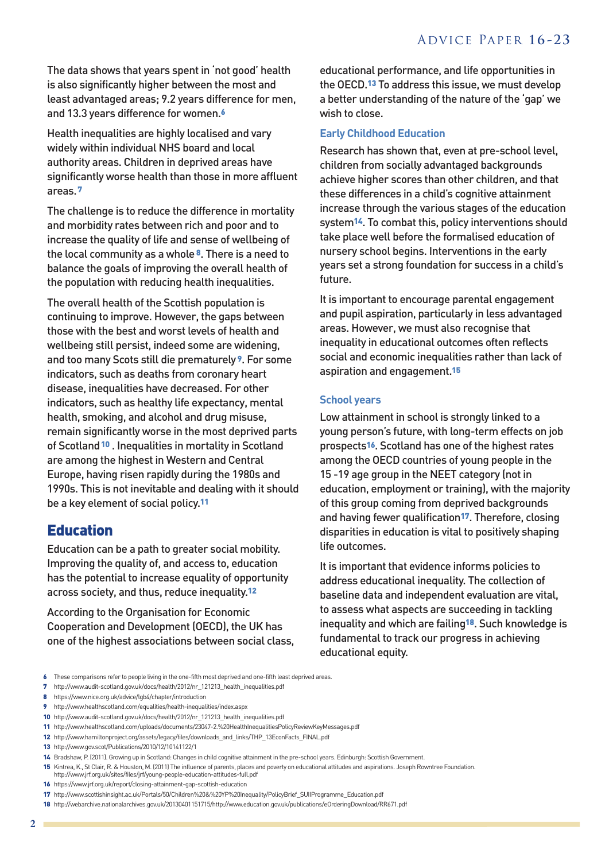The data shows that years spent in 'not good' health is also significantly higher between the most and least advantaged areas; 9.2 years difference for men, and 13.3 years difference for women.6

Health inequalities are highly localised and vary widely within individual NHS board and local authority areas. Children in deprived areas have significantly worse health than those in more affluent areas.7

The challenge is to reduce the difference in mortality and morbidity rates between rich and poor and to increase the quality of life and sense of wellbeing of the local community as a whole 8. There is a need to balance the goals of improving the overall health of the population with reducing health inequalities.

The overall health of the Scottish population is continuing to improve. However, the gaps between those with the best and worst levels of health and wellbeing still persist, indeed some are widening, and too many Scots still die prematurely 9. For some indicators, such as deaths from coronary heart disease, inequalities have decreased. For other indicators, such as healthy life expectancy, mental health, smoking, and alcohol and drug misuse, remain significantly worse in the most deprived parts of Scotland<sup>10</sup>. Inequalities in mortality in Scotland are among the highest in Western and Central Europe, having risen rapidly during the 1980s and 1990s. This is not inevitable and dealing with it should be a key element of social policy.11

## Education

Education can be a path to greater social mobility. Improving the quality of, and access to, education has the potential to increase equality of opportunity across society, and thus, reduce inequality.12

According to the Organisation for Economic Cooperation and Development (OECD), the UK has one of the highest associations between social class,

educational performance, and life opportunities in the OECD.13 To address this issue, we must develop a better understanding of the nature of the 'gap' we wish to close.

#### **Early Childhood Education**

Research has shown that, even at pre-school level, children from socially advantaged backgrounds achieve higher scores than other children, and that these differences in a child's cognitive attainment increase through the various stages of the education system14. To combat this, policy interventions should take place well before the formalised education of nursery school begins. Interventions in the early years set a strong foundation for success in a child's future.

It is important to encourage parental engagement and pupil aspiration, particularly in less advantaged areas. However, we must also recognise that inequality in educational outcomes often reflects social and economic inequalities rather than lack of aspiration and engagement.15

#### **School years**

Low attainment in school is strongly linked to a young person's future, with long-term effects on job prospects16. Scotland has one of the highest rates among the OECD countries of young people in the 15 -19 age group in the NEET category (not in education, employment or training), with the majority of this group coming from deprived backgrounds and having fewer qualification<sup>17</sup>. Therefore, closing disparities in education is vital to positively shaping life outcomes.

It is important that evidence informs policies to address educational inequality. The collection of baseline data and independent evaluation are vital, to assess what aspects are succeeding in tackling inequality and which are failing18. Such knowledge is fundamental to track our progress in achieving educational equity.

- 6 These comparisons refer to people living in the one-fifth most deprived and one-fifth least deprived areas.
- 7 http://www.audit-scotland.gov.uk/docs/health/2012/nr\_121213\_health\_inequalities.pdf
- 8 https://www.nice.org.uk/advice/lgb4/chapter/introduction

10 http://www.audit-scotland.gov.uk/docs/health/2012/nr\_121213\_health\_inequalities.pdf

- 12 http://www.hamiltonproject.org/assets/legacy/files/downloads\_and\_links/THP\_13EconFacts\_FINAL.pdf
- 13 http://www.gov.scot/Publications/2010/12/10141122/1

- 15 Kintrea, K., St Clair, R. & Houston, M. (2011) The influence of parents, places and poverty on educational attitudes and aspirations. Joseph Rowntree Foundation.
- http://www.jrf.org.uk/sites/files/jrf/young-people-education-attitudes-full.pdf

18 http://webarchive.nationalarchives.gov.uk/20130401151715/http://www.education.gov.uk/publications/eOrderingDownload/RR671.pdf

<sup>9</sup> http://www.healthscotland.com/equalities/health-inequalities/index.aspx

<sup>11</sup> http://www.healthscotland.com/uploads/documents/23047-2.%20HealthInequalitiesPolicyReviewKeyMessages.pdf

<sup>14</sup> Bradshaw, P. (2011).Growing up in Scotland:Changes in child cognitive attainmentin the pre-school years. Edinburgh: ScottishGovernment.

<sup>16</sup> https://www.jrf.org.uk/report/closing-attainment-gap-scottish-education

<sup>17</sup> http://www.scottishinsight.ac.uk/Portals/50/Children%20&%20YP%20Inequality/PolicyBrief\_SUIIProgramme\_Education.pdf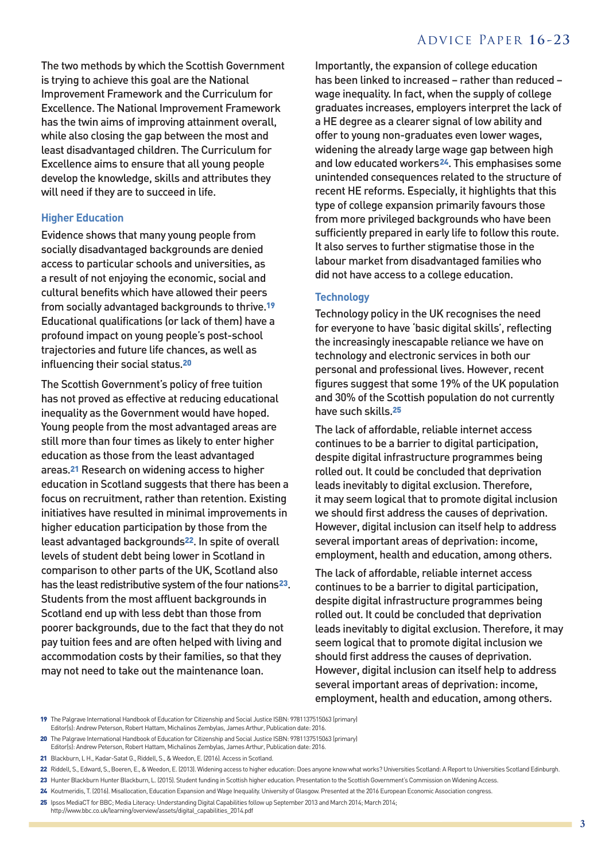#### Advice Paper **16 -23**

The two methods by which the Scottish Government is trying to achieve this goal are the National Improvement Framework and the Curriculum for Excellence. The National Improvement Framework has the twin aims of improving attainment overall, while also closing the gap between the most and least disadvantaged children. The Curriculum for Excellence aims to ensure that all young people develop the knowledge, skills and attributes they will need if they are to succeed in life.

#### **Higher Education**

Evidence shows that many young people from socially disadvantaged backgrounds are denied access to particular schools and universities, as a result of not enjoying the economic, social and cultural benefits which have allowed their peers from socially advantaged backgrounds to thrive.19 Educational qualifications (or lack of them) have a profound impact on young people's post-school trajectories and future life chances, as well as influencing their social status.20

The Scottish Government's policy of free tuition has not proved as effective at reducing educational inequality as the Government would have hoped. Young people from the most advantaged areas are still more than four times as likely to enter higher education as those from the least advantaged areas.21 Research on widening access to higher education in Scotland suggests that there has been a focus on recruitment, rather than retention. Existing initiatives have resulted in minimal improvements in higher education participation by those from the least advantaged backgrounds22. In spite of overall levels of student debt being lower in Scotland in comparison to other parts of the UK, Scotland also has the least redistributive system of the four nations<sup>23</sup>. Students from the most affluent backgrounds in Scotland end up with less debt than those from poorer backgrounds, due to the fact that they do not pay tuition fees and are often helped with living and accommodation costs by their families, so that they may not need to take out the maintenance loan.

Importantly, the expansion of college education has been linked to increased – rather than reduced – wage inequality. In fact, when the supply of college graduates increases, employers interpret the lack of a HE degree as a clearer signal of low ability and offer to young non-graduates even lower wages, widening the already large wage gap between high and low educated workers24. This emphasises some unintended consequences related to the structure of recent HE reforms. Especially, it highlights that this type of college expansion primarily favours those from more privileged backgrounds who have been sufficiently prepared in early life to follow this route. It also serves to further stigmatise those in the labour market from disadvantaged families who did not have access to a college education.

#### **Technology**

Technology policy in the UK recognises the need for everyone to have 'basic digital skills', reflecting the increasingly inescapable reliance we have on technology and electronic services in both our personal and professional lives. However, recent figures suggest that some 19% of the UK population and 30% of the Scottish population do not currently have such skills.25

The lack of affordable, reliable internet access continues to be a barrier to digital participation, despite digital infrastructure programmes being rolled out. It could be concluded that deprivation leads inevitably to digital exclusion. Therefore, it may seem logical that to promote digital inclusion we should first address the causes of deprivation. However, digital inclusion can itself help to address several important areas of deprivation: income, employment, health and education, among others.

The lack of affordable, reliable internet access continues to be a barrier to digital participation, despite digital infrastructure programmes being rolled out. It could be concluded that deprivation leads inevitably to digital exclusion. Therefore, it may seem logical that to promote digital inclusion we should first address the causes of deprivation. However, digital inclusion can itself help to address several important areas of deprivation: income, employment, health and education, among others.

- 20 The Palgrave International Handbook of Education for Citizenship and Social Justice ISBN: 9781137515063 (primary)
- Editor(s): Andrew Peterson, Robert Hattam, Michalinos Zembylas, James Arthur, Publication date: 2016.
- 21 Blackburn, L H., Kadar-Satat G., Riddell, S., & Weedon, E. (2016). Access in Scotland.

23 Hunter Blackburn Hunter Blackburn, L. (2015). Student funding in Scottish higher education. Presentation to the Scottish Government's Commission on Widening Access.

25 Ipsos MediaCT for BBC; Media Literacy: Understanding Digital Capabilities follow up September 2013 and March 2014; March 2014; http://www.bbc.co.uk/learning/overview/assets/digital\_capabilities\_2014.pdf

<sup>19</sup> The Palgrave International Handbook of Education for Citizenship and Social Justice ISBN: 9781137515063 (primary) Editor(s): Andrew Peterson, Robert Hattam, Michalinos Zembylas, James Arthur, Publication date: 2016.

<sup>22</sup> Riddell, S., Edward, S., Boeren, E., & Weedon, E. (2013). Widening access to higher education: Does anyone know what works? Universities Scotland: A Report to Universities Scotland Edinburgh.

<sup>24</sup> Koutmeridis, T. (2016). Misallocation, Education Expansion and Wage Inequality. University of Glasgow. Presented at the 2016 European Economic Association congress.